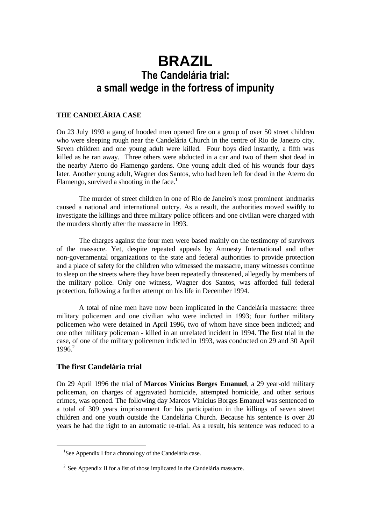### **THE CANDELÁRIA CASE**

On 23 July 1993 a gang of hooded men opened fire on a group of over 50 street children who were sleeping rough near the Candelária Church in the centre of Rio de Janeiro city. Seven children and one young adult were killed. Four boys died instantly, a fifth was killed as he ran away. Three others were abducted in a car and two of them shot dead in the nearby Aterro do Flamengo gardens. One young adult died of his wounds four days later. Another young adult, Wagner dos Santos, who had been left for dead in the Aterro do Flamengo, survived a shooting in the face.<sup>1</sup>

The murder of street children in one of Rio de Janeiro's most prominent landmarks caused a national and international outcry. As a result, the authorities moved swiftly to investigate the killings and three military police officers and one civilian were charged with the murders shortly after the massacre in 1993.

The charges against the four men were based mainly on the testimony of survivors of the massacre. Yet, despite repeated appeals by Amnesty International and other non-governmental organizations to the state and federal authorities to provide protection and a place of safety for the children who witnessed the massacre, many witnesses continue to sleep on the streets where they have been repeatedly threatened, allegedly by members of the military police. Only one witness, Wagner dos Santos, was afforded full federal protection, following a further attempt on his life in December 1994.

A total of nine men have now been implicated in the Candelária massacre: three military policemen and one civilian who were indicted in 1993; four further military policemen who were detained in April 1996, two of whom have since been indicted; and one other military policeman - killed in an unrelated incident in 1994. The first trial in the case, of one of the military policemen indicted in 1993, was conducted on 29 and 30 April  $1996^2$ 

## **The first Candelária trial**

—<br>—

On 29 April 1996 the trial of **Marcos Vinícius Borges Emanuel**, a 29 year-old military policeman, on charges of aggravated homicide, attempted homicide, and other serious crimes, was opened. The following day Marcos Vinícius Borges Emanuel was sentenced to a total of 309 years imprisonment for his participation in the killings of seven street children and one youth outside the Candelária Church. Because his sentence is over 20 years he had the right to an automatic re-trial. As a result, his sentence was reduced to a

<sup>&</sup>lt;sup>1</sup>See Appendix I for a chronology of the Candelária case.

<sup>&</sup>lt;sup>2</sup> See Appendix II for a list of those implicated in the Candelária massacre.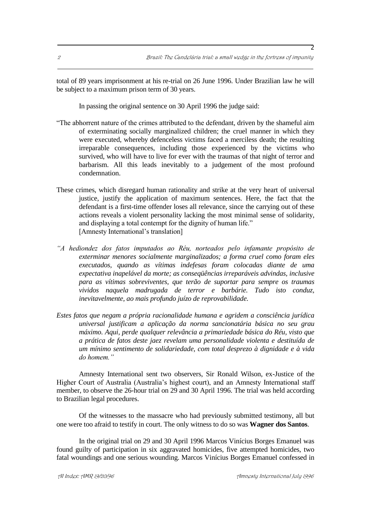2

total of 89 years imprisonment at his re-trial on 26 June 1996. Under Brazilian law he will be subject to a maximum prison term of 30 years.

In passing the original sentence on 30 April 1996 the judge said:

- "The abhorrent nature of the crimes attributed to the defendant, driven by the shameful aim of exterminating socially marginalized children; the cruel manner in which they were executed, whereby defenceless victims faced a merciless death; the resulting irreparable consequences, including those experienced by the victims who survived, who will have to live for ever with the traumas of that night of terror and barbarism. All this leads inevitably to a judgement of the most profound condemnation.
- These crimes, which disregard human rationality and strike at the very heart of universal justice, justify the application of maximum sentences. Here, the fact that the defendant is a first-time offender loses all relevance, since the carrying out of these actions reveals a violent personality lacking the most minimal sense of solidarity, and displaying a total contempt for the dignity of human life." [Amnesty International's translation]
- *"A hediondez dos fatos imputados ao Réu, norteados pelo infamante propósito de exterminar menores socialmente marginalizados; a forma cruel como foram eles executados, quando as vítimas indefesas foram colocadas diante de uma expectativa inapelável da morte; as conseqüências irreparáveis advindas, inclusive para as vítimas sobreviventes, que terão de suportar para sempre os traumas vividos naquela madrugada de terror e barbárie. Tudo isto conduz, inevitavelmente, ao mais profundo juízo de reprovabilidade.*
- *Estes fatos que negam a própria racionalidade humana e agridem a consciência jurídica universal justificam a aplicação da norma sancionatária básica no seu grau máximo. Aqui, perde qualquer relevância a primariedade básica do Réu, visto que a prática de fatos deste jaez revelam uma personalidade violenta e destituída de um mínimo sentimento de solidariedade, com total desprezo à dignidade e à vida do homem."*

Amnesty International sent two observers, Sir Ronald Wilson, ex-Justice of the Higher Court of Australia (Australia's highest court), and an Amnesty International staff member, to observe the 26-hour trial on 29 and 30 April 1996. The trial was held according to Brazilian legal procedures.

Of the witnesses to the massacre who had previously submitted testimony, all but one were too afraid to testify in court. The only witness to do so was **Wagner dos Santos**.

In the original trial on 29 and 30 April 1996 Marcos Vinícius Borges Emanuel was found guilty of participation in six aggravated homicides, five attempted homicides, two fatal woundings and one serious wounding. Marcos Vinícius Borges Emanuel confessed in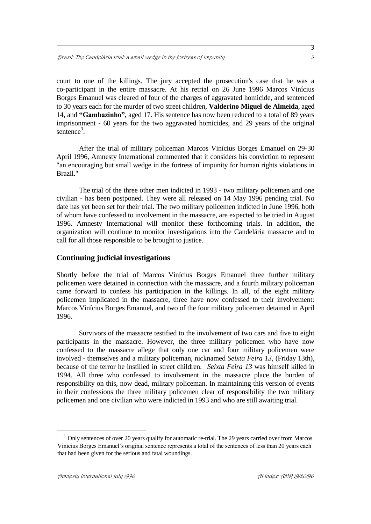court to one of the killings. The jury accepted the prosecution's case that he was a co-participant in the entire massacre. At his retrial on 26 June 1996 Marcos Vinícius Borges Emanuel was cleared of four of the charges of aggravated homicide, and sentenced to 30 years each for the murder of two street children, **Valderino Miguel de Almeida**, aged 14, and **"Gambazinho"**, aged 17. His sentence has now been reduced to a total of 89 years imprisonment - 60 years for the two aggravated homicides, and 29 years of the original  $\text{sentence}^3$ .

After the trial of military policeman Marcos Vinícius Borges Emanuel on 29-30 April 1996, Amnesty International commented that it considers his conviction to represent "an encouraging but small wedge in the fortress of impunity for human rights violations in Brazil."

The trial of the three other men indicted in 1993 - two military policemen and one civilian - has been postponed. They were all released on 14 May 1996 pending trial. No date has yet been set for their trial. The two military policemen indicted in June 1996, both of whom have confessed to involvement in the massacre, are expected to be tried in August 1996. Amnesty International will monitor these forthcoming trials. In addition, the organization will continue to monitor investigations into the Candelária massacre and to call for all those responsible to be brought to justice.

### **Continuing judicial investigations**

Shortly before the trial of Marcos Vinícius Borges Emanuel three further military policemen were detained in connection with the massacre, and a fourth military policeman came forward to confess his participation in the killings. In all, of the eight military policemen implicated in the massacre, three have now confessed to their involvement: Marcos Vinícius Borges Emanuel, and two of the four military policemen detained in April 1996.

Survivors of the massacre testified to the involvement of two cars and five to eight participants in the massacre. However, the three military policemen who have now confessed to the massacre allege that only one car and four military policemen were involved - themselves and a military policeman, nicknamed *Seixta Feira 13*, (Friday 13th), because of the terror he instilled in street children. *Seixta Feira 13* was himself killed in 1994. All three who confessed to involvement in the massacre place the burden of responsibility on this, now dead, military policeman. In maintaining this version of events in their confessions the three military policemen clear of responsibility the two military policemen and one civilian who were indicted in 1993 and who are still awaiting trial.

—<br>—

<sup>&</sup>lt;sup>3</sup> Only sentences of over 20 years qualify for automatic re-trial. The 29 years carried over from Marcos Vinícius Borges Emanuel's original sentence represents a total of the sentences of less than 20 years each that had been given for the serious and fatal woundings.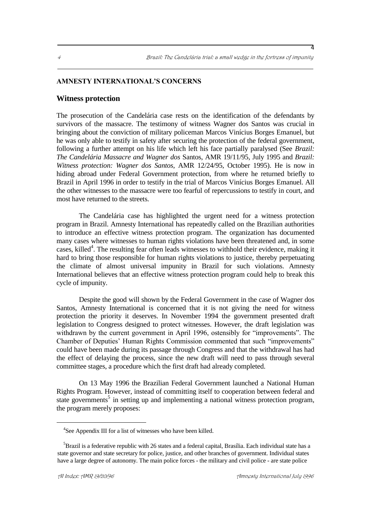7

#### **AMNESTY INTERNATIONAL'S CONCERNS**

#### **Witness protection**

The prosecution of the Candelária case rests on the identification of the defendants by survivors of the massacre. The testimony of witness Wagner dos Santos was crucial in bringing about the conviction of military policeman Marcos Vinícius Borges Emanuel, but he was only able to testify in safety after securing the protection of the federal government, following a further attempt on his life which left his face partially paralysed (See *Brazil: The Candelária Massacre and Wagner dos* Santos, AMR 19/11/95, July 1995 and *Brazil: Witness protection: Wagner dos Santos*, AMR 12/24/95, October 1995). He is now in hiding abroad under Federal Government protection, from where he returned briefly to Brazil in April 1996 in order to testify in the trial of Marcos Vinícius Borges Emanuel. All the other witnesses to the massacre were too fearful of repercussions to testify in court, and most have returned to the streets.

The Candelária case has highlighted the urgent need for a witness protection program in Brazil. Amnesty International has repeatedly called on the Brazilian authorities to introduce an effective witness protection program. The organization has documented many cases where witnesses to human rights violations have been threatened and, in some cases, killed<sup>4</sup>. The resulting fear often leads witnesses to withhold their evidence, making it hard to bring those responsible for human rights violations to justice, thereby perpetuating the climate of almost universal impunity in Brazil for such violations. Amnesty International believes that an effective witness protection program could help to break this cycle of impunity.

Despite the good will shown by the Federal Government in the case of Wagner dos Santos, Amnesty International is concerned that it is not giving the need for witness protection the priority it deserves. In November 1994 the government presented draft legislation to Congress designed to protect witnesses. However, the draft legislation was withdrawn by the current government in April 1996, ostensibly for "improvements". The Chamber of Deputies' Human Rights Commission commented that such "improvements" could have been made during its passage through Congress and that the withdrawal has had the effect of delaying the process, since the new draft will need to pass through several committee stages, a procedure which the first draft had already completed.

On 13 May 1996 the Brazilian Federal Government launched a National Human Rights Program. However, instead of committing itself to cooperation between federal and state governments<sup>5</sup> in setting up and implementing a national witness protection program, the program merely proposes:

—<br>—

<sup>&</sup>lt;sup>4</sup>See Appendix III for a list of witnesses who have been killed.

<sup>&</sup>lt;sup>5</sup>Brazil is a federative republic with 26 states and a federal capital, Brasília. Each individual state has a state governor and state secretary for police, justice, and other branches of government. Individual states have a large degree of autonomy. The main police forces - the military and civil police - are state police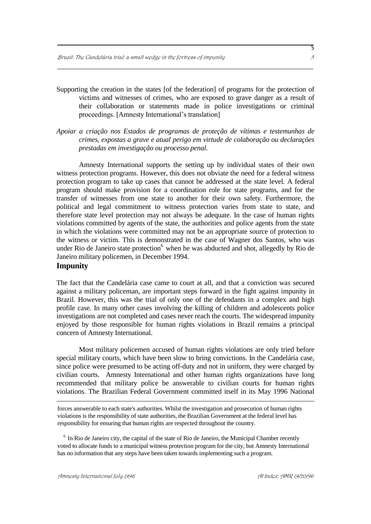- Supporting the creation in the states [of the federation] of programs for the protection of victims and witnesses of crimes, who are exposed to grave danger as a result of their collaboration or statements made in police investigations or criminal proceedings. [Amnesty International's translation]
- *Apoiar a criação nos Estados de programas de proteção de vítimas e testemunhas de crimes, expostas a grave e atual perigo em virtude de colaboração ou declarações prestadas em investigação ou processo penal.*

Amnesty International supports the setting up by individual states of their own witness protection programs. However, this does not obviate the need for a federal witness protection program to take up cases that cannot be addressed at the state level. A federal program should make provision for a coordination role for state programs, and for the transfer of witnesses from one state to another for their own safety. Furthermore, the political and legal commitment to witness protection varies from state to state, and therefore state level protection may not always be adequate. In the case of human rights violations committed by agents of the state, the authorities and police agents from the state in which the violations were committed may not be an appropriate source of protection to the witness or victim. This is demonstrated in the case of Wagner dos Santos, who was under Rio de Janeiro state protection $6 \text{ when he was abducted}$  and shot, allegedly by Rio de Janeiro military policemen, in December 1994.

### **Impunity**

-

The fact that the Candelária case came to court at all, and that a conviction was secured against a military policeman, are important steps forward in the fight against impunity in Brazil. However, this was the trial of only one of the defendants in a complex and high profile case. In many other cases involving the killing of children and adolescents police investigations are not completed and cases never reach the courts. The widespread impunity enjoyed by those responsible for human rights violations in Brazil remains a principal concern of Amnesty International.

Most military policemen accused of human rights violations are only tried before special military courts, which have been slow to bring convictions. In the Candelária case, since police were presumed to be acting off-duty and not in uniform, they were charged by civilian courts. Amnesty International and other human rights organizations have long recommended that military police be answerable to civilian courts for human rights violations. The Brazilian Federal Government committed itself in its May 1996 National

forces answerable to each state's authorities. Whilst the investigation and prosecution of human rights violations is the responsibility of state authorities, the Brazilian Government at the federal level has responsibility for ensuring that human rights are respected throughout the country.

 $<sup>6</sup>$  In Rio de Janeiro city, the capital of the state of Rio de Janeiro, the Municipal Chamber recently</sup> voted to allocate funds to a municipal witness protection program for the city, but Amnesty International has no information that any steps have been taken towards implementing such a program.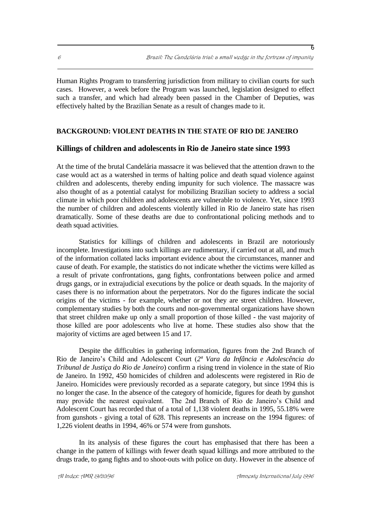6

Human Rights Program to transferring jurisdiction from military to civilian courts for such cases. However, a week before the Program was launched, legislation designed to effect such a transfer, and which had already been passed in the Chamber of Deputies, was effectively halted by the Brazilian Senate as a result of changes made to it.

#### **BACKGROUND: VIOLENT DEATHS IN THE STATE OF RIO DE JANEIRO**

#### **Killings of children and adolescents in Rio de Janeiro state since 1993**

At the time of the brutal Candelária massacre it was believed that the attention drawn to the case would act as a watershed in terms of halting police and death squad violence against children and adolescents, thereby ending impunity for such violence. The massacre was also thought of as a potential catalyst for mobilizing Brazilian society to address a social climate in which poor children and adolescents are vulnerable to violence. Yet, since 1993 the number of children and adolescents violently killed in Rio de Janeiro state has risen dramatically. Some of these deaths are due to confrontational policing methods and to death squad activities.

Statistics for killings of children and adolescents in Brazil are notoriously incomplete. Investigations into such killings are rudimentary, if carried out at all, and much of the information collated lacks important evidence about the circumstances, manner and cause of death. For example, the statistics do not indicate whether the victims were killed as a result of private confrontations, gang fights, confrontations between police and armed drugs gangs, or in extrajudicial executions by the police or death squads. In the majority of cases there is no information about the perpetrators. Nor do the figures indicate the social origins of the victims - for example, whether or not they are street children. However, complementary studies by both the courts and non-governmental organizations have shown that street children make up only a small proportion of those killed - the vast majority of those killed are poor adolescents who live at home. These studies also show that the majority of victims are aged between 15 and 17.

Despite the difficulties in gathering information, figures from the 2nd Branch of Rio de Janeiro's Child and Adolescent Court (*2ª Vara da Infância e Adolescência do Tribunal de Justiça do Rio de Janeiro*) confirm a rising trend in violence in the state of Rio de Janeiro. In 1992, 450 homicides of children and adolescents were registered in Rio de Janeiro. Homicides were previously recorded as a separate category, but since 1994 this is no longer the case. In the absence of the category of homicide, figures for death by gunshot may provide the nearest equivalent. The 2nd Branch of Rio de Janeiro's Child and Adolescent Court has recorded that of a total of 1,138 violent deaths in 1995, 55.18% were from gunshots - giving a total of 628. This represents an increase on the 1994 figures: of 1,226 violent deaths in 1994, 46% or 574 were from gunshots.

In its analysis of these figures the court has emphasised that there has been a change in the pattern of killings with fewer death squad killings and more attributed to the drugs trade, to gang fights and to shoot-outs with police on duty. However in the absence of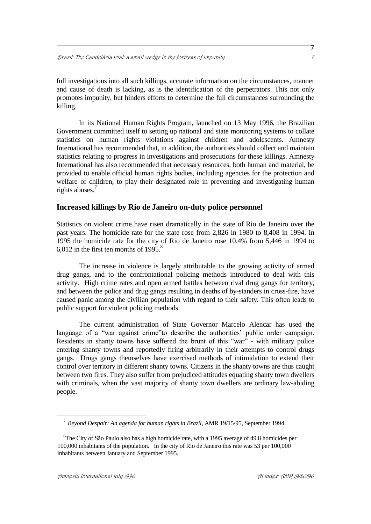full investigations into all such killings, accurate information on the circumstances, manner and cause of death is lacking, as is the identification of the perpetrators. This not only promotes impunity, but hinders efforts to determine the full circumstances surrounding the killing.

In its National Human Rights Program, launched on 13 May 1996, the Brazilian Government committed itself to setting up national and state monitoring systems to collate statistics on human rights violations against children and adolescents. Amnesty International has recommended that, in addition, the authorities should collect and maintain statistics relating to progress in investigations and prosecutions for these killings. Amnesty International has also recommended that necessary resources, both human and material, be provided to enable official human rights bodies, including agencies for the protection and welfare of children, to play their designated role in preventing and investigating human rights abuses. $<sup>7</sup>$ </sup>

# **Increased killings by Rio de Janeiro on-duty police personnel**

Statistics on violent crime have risen dramatically in the state of Rio de Janeiro over the past years. The homicide rate for the state rose from 2,826 in 1980 to 8,408 in 1994. In 1995 the homicide rate for the city of Rio de Janeiro rose 10.4% from 5,446 in 1994 to 6,012 in the first ten months of  $1995<sup>8</sup>$ 

The increase in violence is largely attributable to the growing activity of armed drug gangs, and to the confrontational policing methods introduced to deal with this activity. High crime rates and open armed battles between rival drug gangs for territory, and between the police and drug gangs resulting in deaths of by-standers in cross-fire, have caused panic among the civilian population with regard to their safety. This often leads to public support for violent policing methods.

The current administration of State Governor Marcelo Alencar has used the language of a "war against crime" to describe the authorities' public order campaign. Residents in shanty towns have suffered the brunt of this "war" - with military police entering shanty towns and reportedly firing arbitrarily in their attempts to control drugs gangs. Drugs gangs themselves have exercised methods of intimidation to extend their control over territory in different shanty towns. Citizens in the shanty towns are thus caught between two fires. They also suffer from prejudiced attitudes equating shanty town dwellers with criminals, when the vast majority of shanty town dwellers are ordinary law-abiding people.

—<br>—

<sup>7</sup> *Beyond Despair: An agenda for human rights in Brazil*, AMR 19/15/95, September 1994.

<sup>&</sup>lt;sup>8</sup>The City of São Paulo also has a high homicide rate, with a 1995 average of 49.8 homicides per 100,000 inhabitants of the population. In the city of Rio de Janeiro this rate was 53 per 100,000 inhabitants between January and September 1995.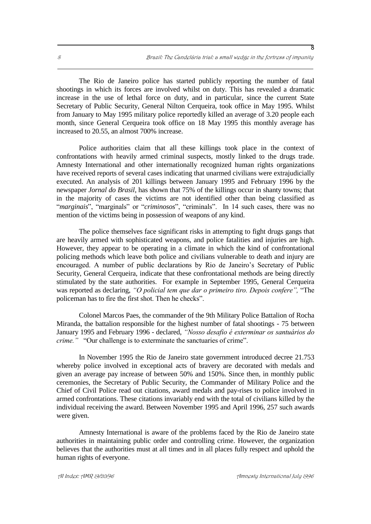8

The Rio de Janeiro police has started publicly reporting the number of fatal shootings in which its forces are involved whilst on duty. This has revealed a dramatic increase in the use of lethal force on duty, and in particular, since the current State Secretary of Public Security, General Nilton Cerqueira, took office in May 1995. Whilst from January to May 1995 military police reportedly killed an average of 3.20 people each month, since General Cerqueira took office on 18 May 1995 this monthly average has increased to 20.55, an almost 700% increase.

Police authorities claim that all these killings took place in the context of confrontations with heavily armed criminal suspects, mostly linked to the drugs trade. Amnesty International and other internationally recognized human rights organizations have received reports of several cases indicating that unarmed civilians were extrajudicially executed. An analysis of 201 killings between January 1995 and February 1996 by the newspaper *Jornal do Brasil*, has shown that 75% of the killings occur in shanty towns; that in the majority of cases the victims are not identified other than being classified as "*marginais*", "marginals" or "*criminosos*", "criminals". In 14 such cases, there was no mention of the victims being in possession of weapons of any kind.

The police themselves face significant risks in attempting to fight drugs gangs that are heavily armed with sophisticated weapons, and police fatalities and injuries are high. However, they appear to be operating in a climate in which the kind of confrontational policing methods which leave both police and civilians vulnerable to death and injury are encouraged. A number of public declarations by Rio de Janeiro's Secretary of Public Security, General Cerqueira, indicate that these confrontational methods are being directly stimulated by the state authorities. For example in September 1995, General Cerqueira was reported as declaring, *"O policial tem que dar o primeiro tiro. Depois confere",* "The policeman has to fire the first shot. Then he checks".

Colonel Marcos Paes, the commander of the 9th Military Police Battalion of Rocha Miranda, the battalion responsible for the highest number of fatal shootings - 75 between January 1995 and February 1996 - declared, *"Nosso desafio é exterminar os santuários do crime.*" "Our challenge is to exterminate the sanctuaries of crime".

In November 1995 the Rio de Janeiro state government introduced decree 21.753 whereby police involved in exceptional acts of bravery are decorated with medals and given an average pay increase of between 50% and 150%. Since then, in monthly public ceremonies, the Secretary of Public Security, the Commander of Military Police and the Chief of Civil Police read out citations, award medals and pay-rises to police involved in armed confrontations. These citations invariably end with the total of civilians killed by the individual receiving the award. Between November 1995 and April 1996, 257 such awards were given.

Amnesty International is aware of the problems faced by the Rio de Janeiro state authorities in maintaining public order and controlling crime. However, the organization believes that the authorities must at all times and in all places fully respect and uphold the human rights of everyone.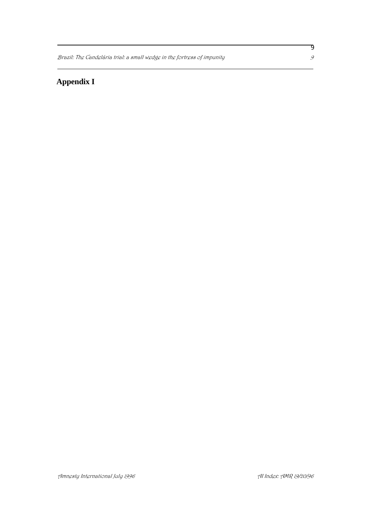# **Appendix I**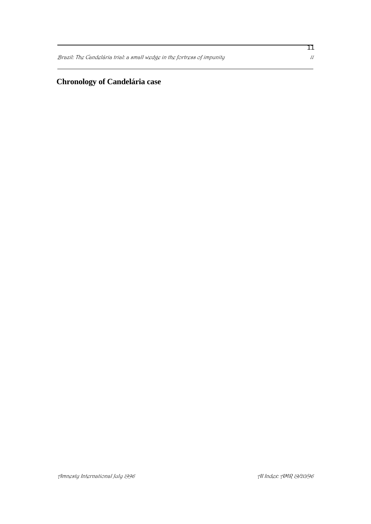# **Chronology of Candelária case**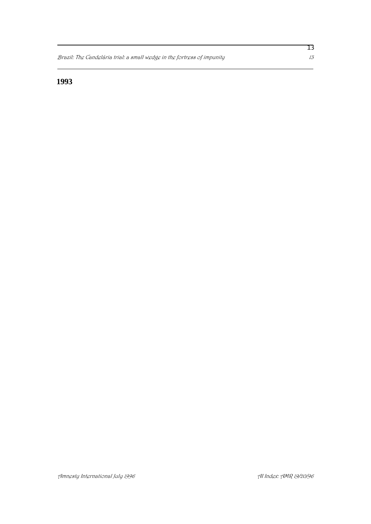**1993**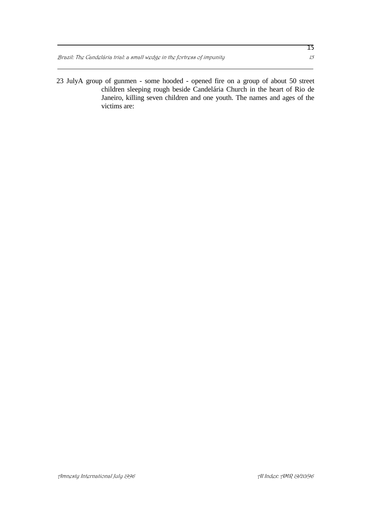23 JulyA group of gunmen - some hooded - opened fire on a group of about 50 street children sleeping rough beside Candelária Church in the heart of Rio de Janeiro, killing seven children and one youth. The names and ages of the victims are: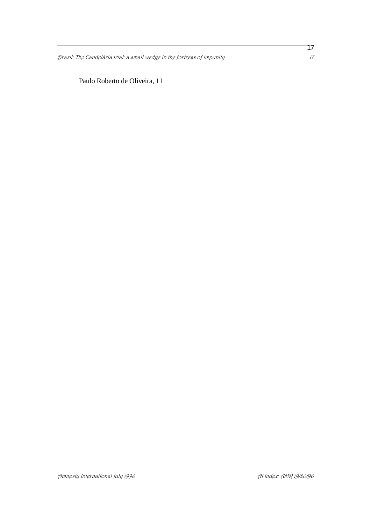Paulo Roberto de Oliveira, 11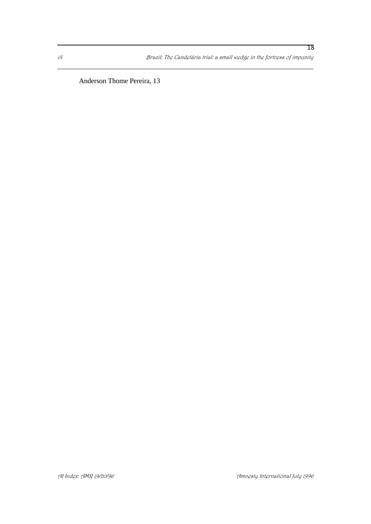18

Anderson Thome Pereira, 13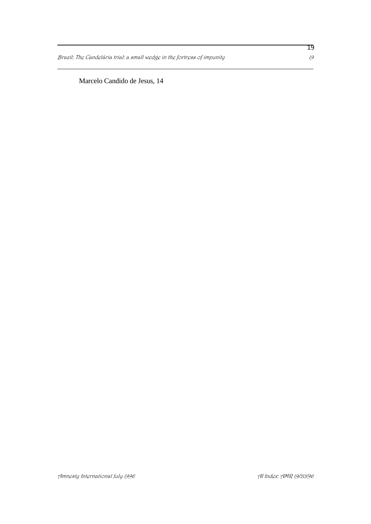Marcelo Candido de Jesus, 14

Amnesty International July 1996 AI Index: AMR 19/20/96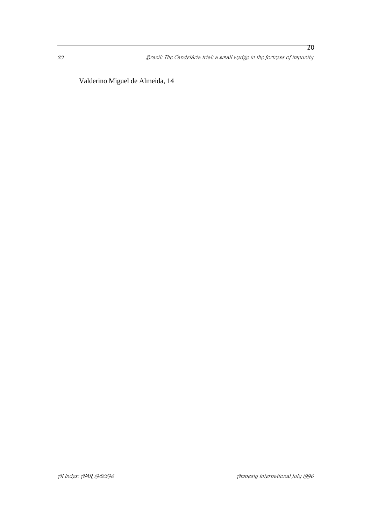20

Valderino Miguel de Almeida, 14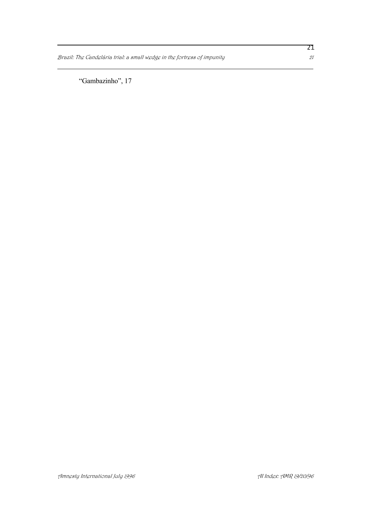"Gambazinho", 17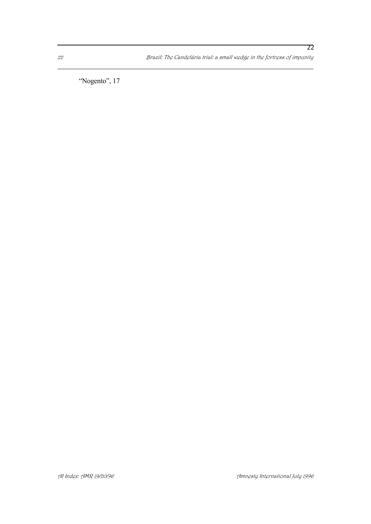"Nogento", 17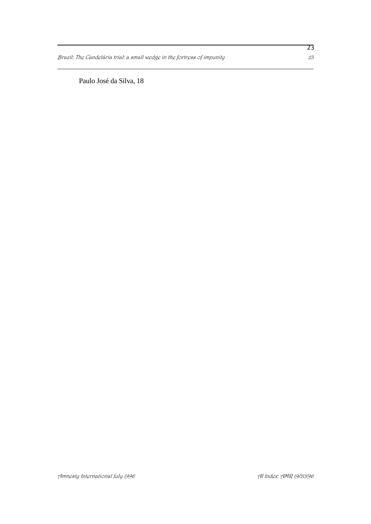Paulo José da Silva, 18

Amnesty International July 1996 AI Index: AMR 19/20/96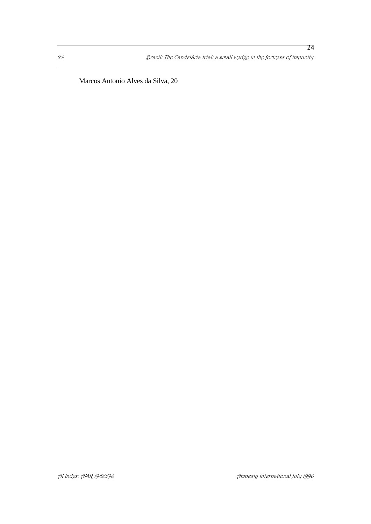24

Marcos Antonio Alves da Silva, 20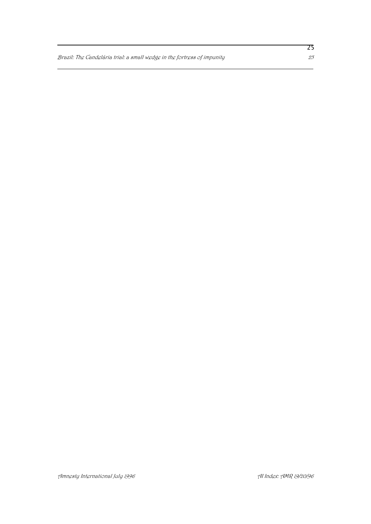Amnesty International July 1996 AI Index: AMR 19/20/96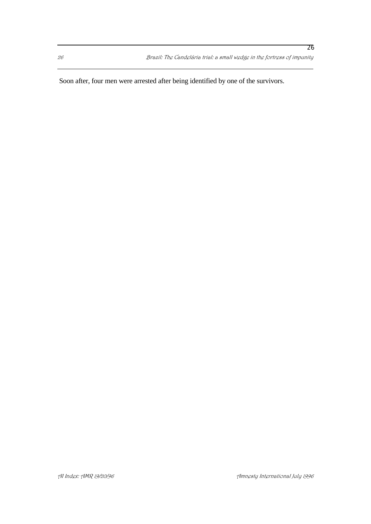26

Soon after, four men were arrested after being identified by one of the survivors.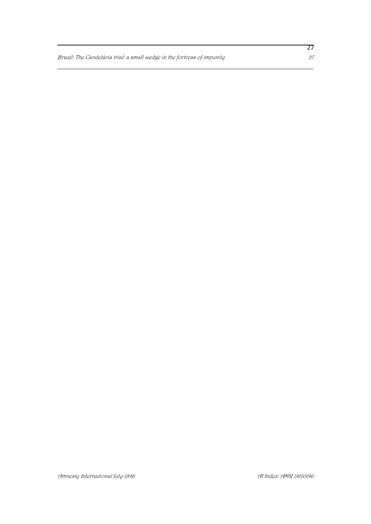Amnesty International July 1996 AI Index: AMR 19/20/96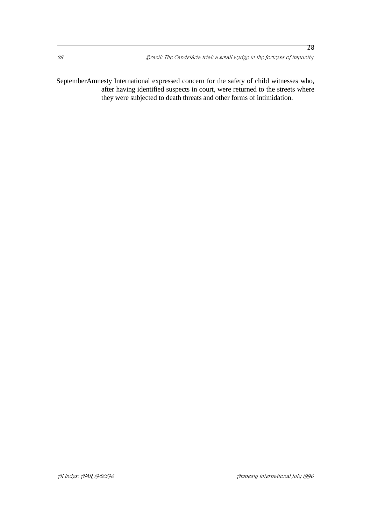28

SeptemberAmnesty International expressed concern for the safety of child witnesses who, after having identified suspects in court, were returned to the streets where they were subjected to death threats and other forms of intimidation.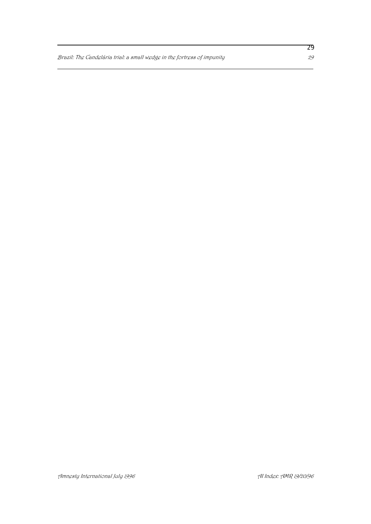Amnesty International July 1996 AI Index: AMR 19/20/96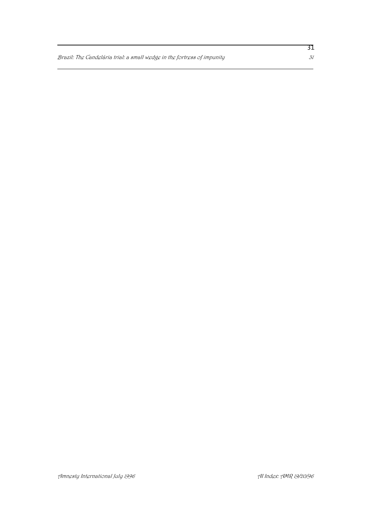Amnesty International July 1996 AI Index: AMR 19/20/96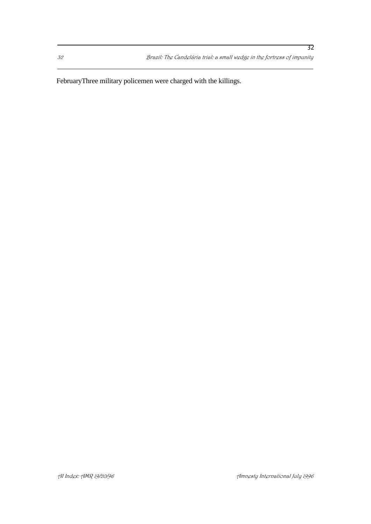32

FebruaryThree military policemen were charged with the killings.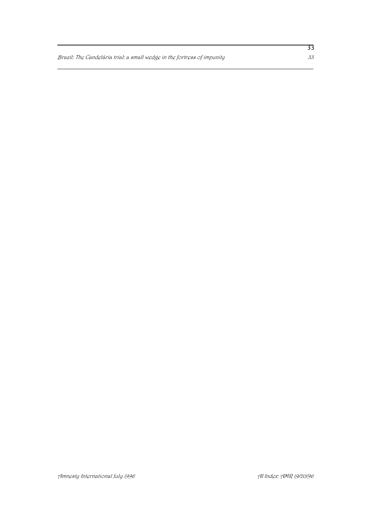Amnesty International July 1996 AI Index: AMR 19/20/96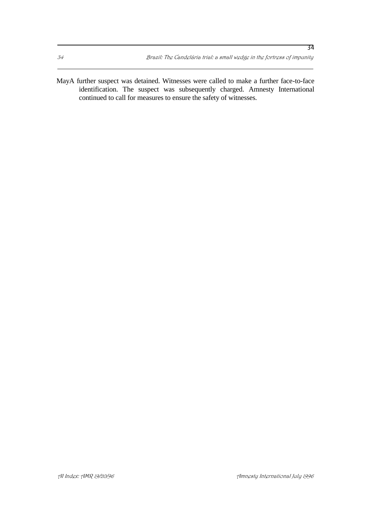34

MayA further suspect was detained. Witnesses were called to make a further face-to-face identification. The suspect was subsequently charged. Amnesty International continued to call for measures to ensure the safety of witnesses.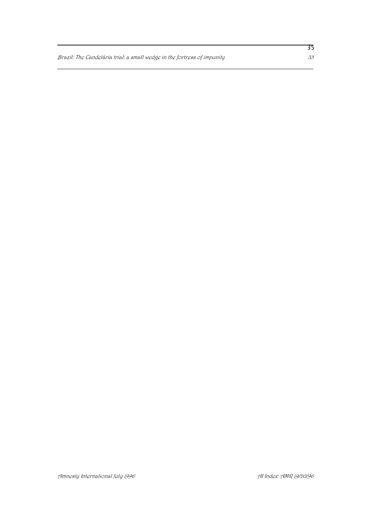Amnesty International July 1996 AI Index: AMR 19/20/96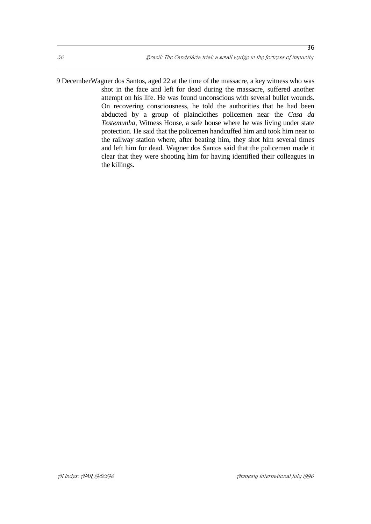36

9 DecemberWagner dos Santos, aged 22 at the time of the massacre, a key witness who was shot in the face and left for dead during the massacre, suffered another attempt on his life. He was found unconscious with several bullet wounds. On recovering consciousness, he told the authorities that he had been abducted by a group of plainclothes policemen near the *Casa da Testemunha*, Witness House, a safe house where he was living under state protection. He said that the policemen handcuffed him and took him near to the railway station where, after beating him, they shot him several times and left him for dead. Wagner dos Santos said that the policemen made it clear that they were shooting him for having identified their colleagues in the killings.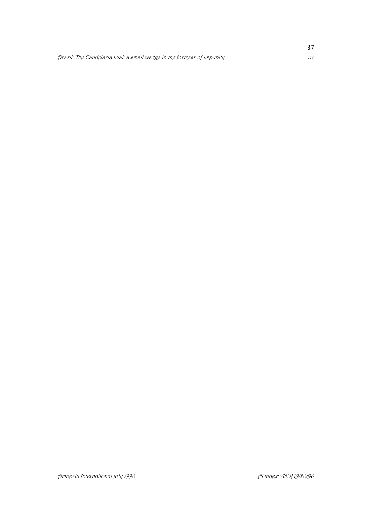Amnesty International July 1996 AI Index: AMR 19/20/96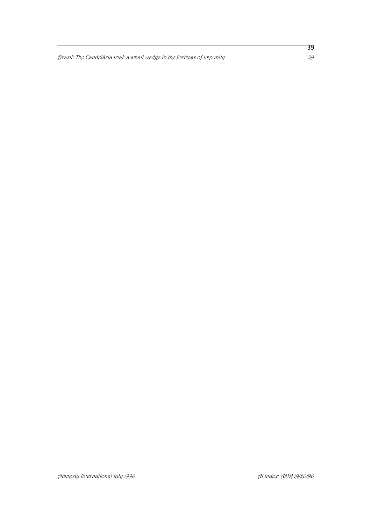Amnesty International July 1996 AI Index: AMR 19/20/96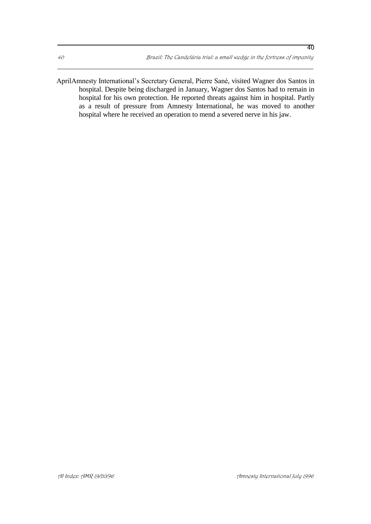40

AprilAmnesty International's Secretary General, Pierre Sané, visited Wagner dos Santos in hospital. Despite being discharged in January, Wagner dos Santos had to remain in hospital for his own protection. He reported threats against him in hospital. Partly as a result of pressure from Amnesty International, he was moved to another hospital where he received an operation to mend a severed nerve in his jaw.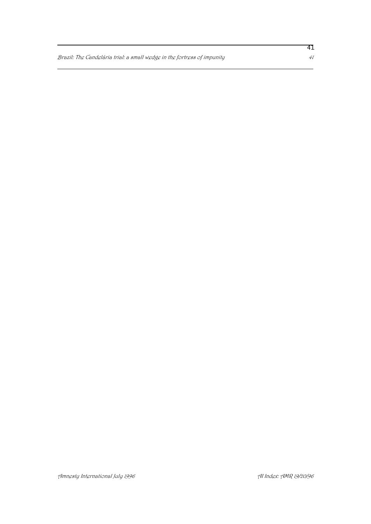Amnesty International July 1996 AI Index: AMR 19/20/96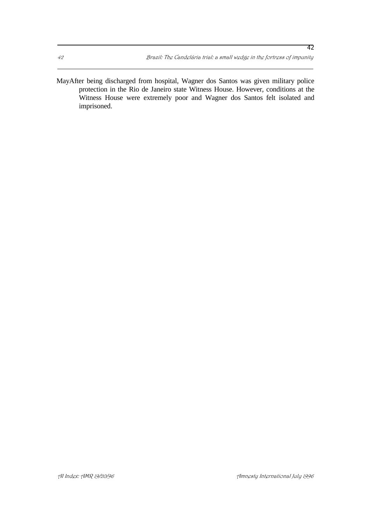42

MayAfter being discharged from hospital, Wagner dos Santos was given military police protection in the Rio de Janeiro state Witness House. However, conditions at the Witness House were extremely poor and Wagner dos Santos felt isolated and imprisoned.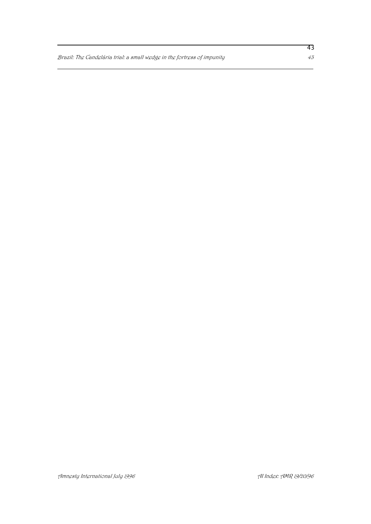Amnesty International July 1996 AI Index: AMR 19/20/96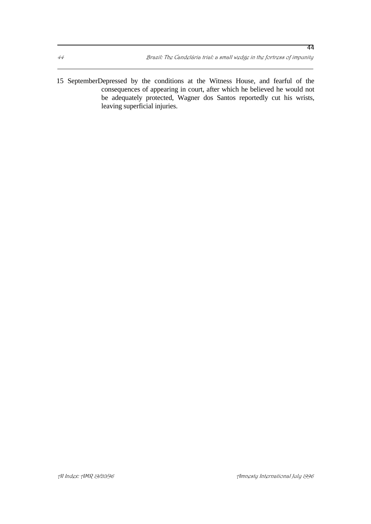44

15 SeptemberDepressed by the conditions at the Witness House, and fearful of the consequences of appearing in court, after which he believed he would not be adequately protected, Wagner dos Santos reportedly cut his wrists, leaving superficial injuries.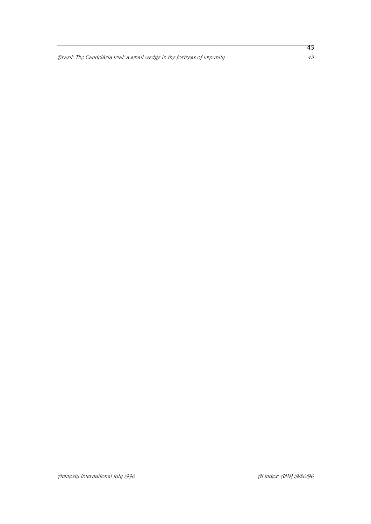Amnesty International July 1996 AI Index: AMR 19/20/96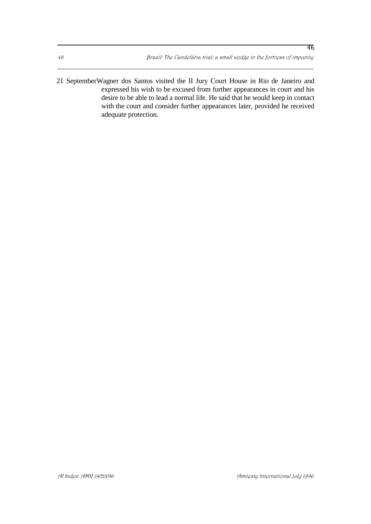46

21 SeptemberWagner dos Santos visited the II Jury Court House in Rio de Janeiro and expressed his wish to be excused from further appearances in court and his desire to be able to lead a normal life. He said that he would keep in contact with the court and consider further appearances later, provided he received adequate protection.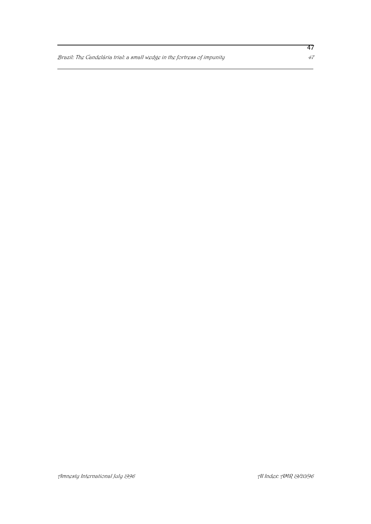Amnesty International July 1996 AI Index: AMR 19/20/96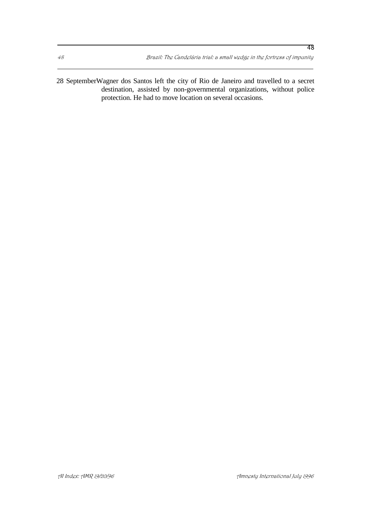48

28 SeptemberWagner dos Santos left the city of Rio de Janeiro and travelled to a secret destination, assisted by non-governmental organizations, without police protection. He had to move location on several occasions.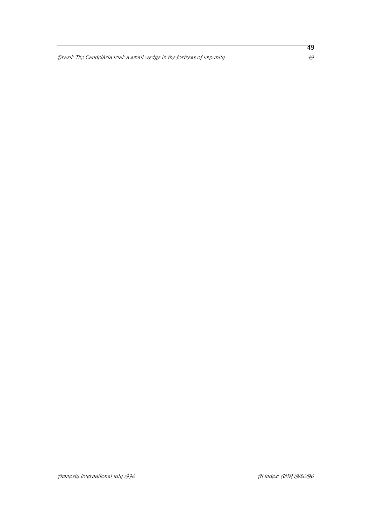Amnesty International July 1996 AI Index: AMR 19/20/96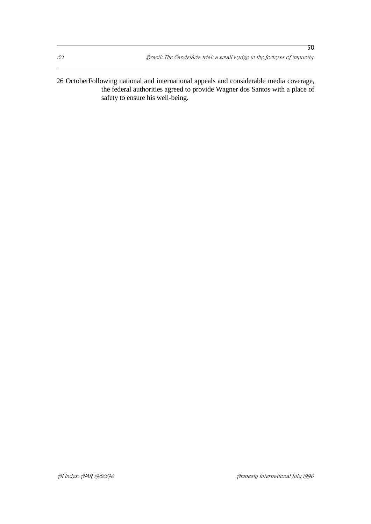50

26 OctoberFollowing national and international appeals and considerable media coverage, the federal authorities agreed to provide Wagner dos Santos with a place of safety to ensure his well-being.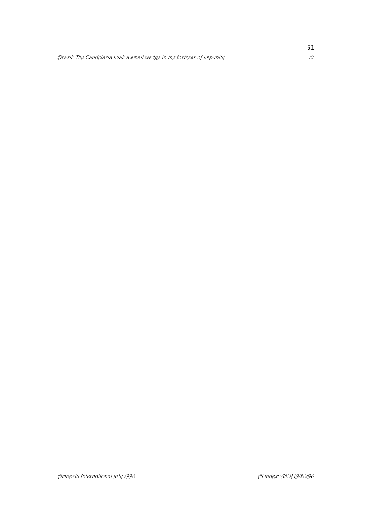Amnesty International July 1996 AI Index: AMR 19/20/96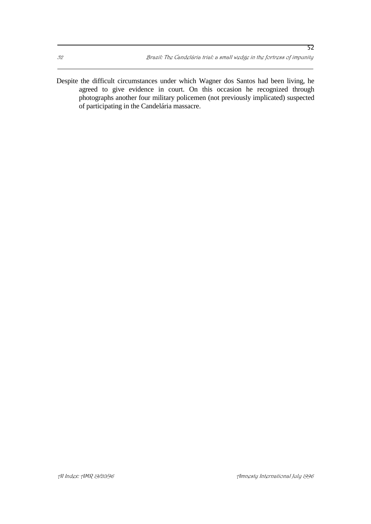52

Despite the difficult circumstances under which Wagner dos Santos had been living, he agreed to give evidence in court. On this occasion he recognized through photographs another four military policemen (not previously implicated) suspected of participating in the Candelária massacre.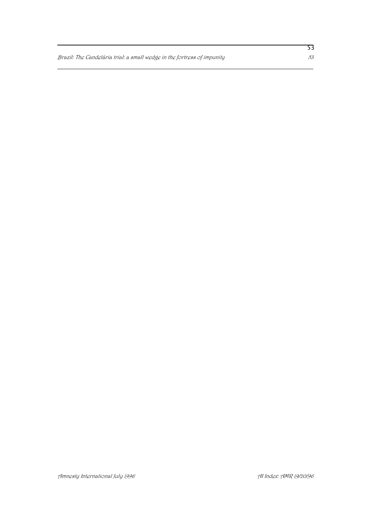Amnesty International July 1996 AI Index: AMR 19/20/96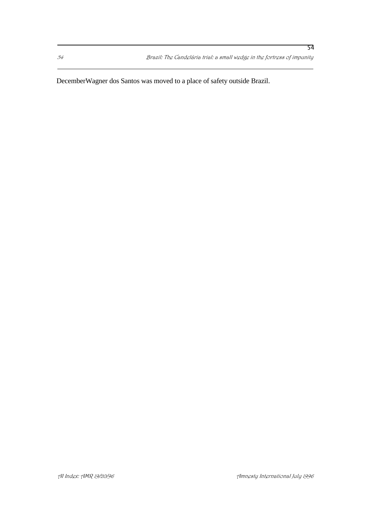54

DecemberWagner dos Santos was moved to a place of safety outside Brazil.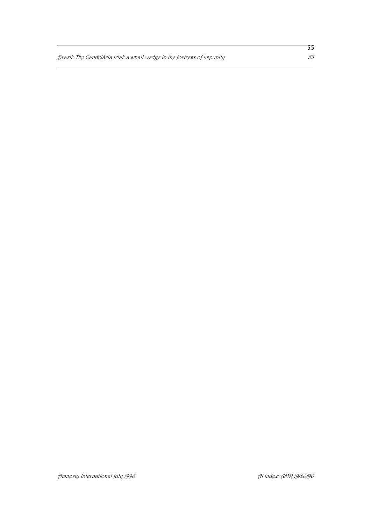Amnesty International July 1996 AI Index: AMR 19/20/96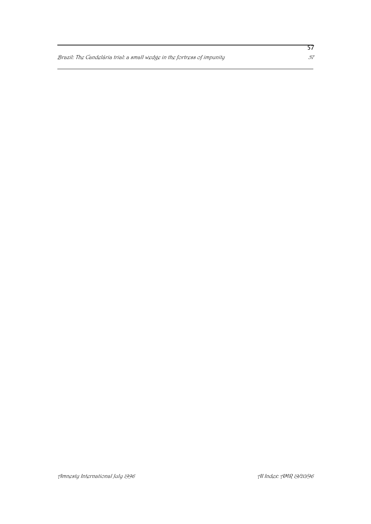Amnesty International July 1996 AI Index: AMR 19/20/96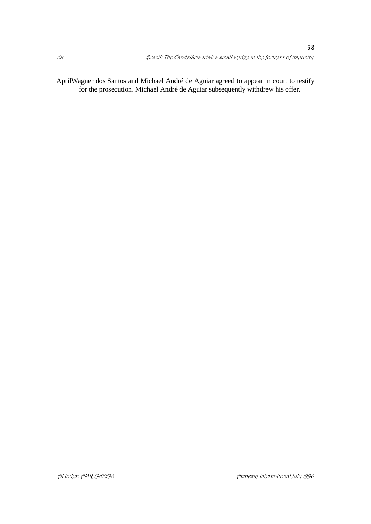58

AprilWagner dos Santos and Michael André de Aguiar agreed to appear in court to testify for the prosecution. Michael André de Aguiar subsequently withdrew his offer.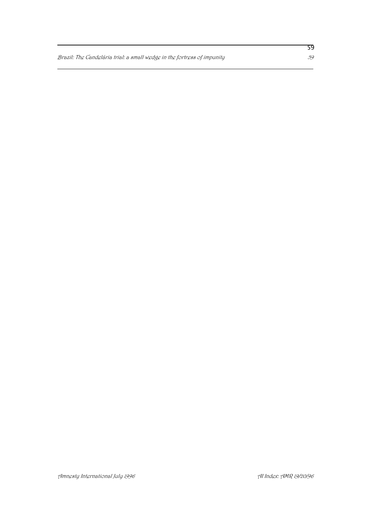Amnesty International July 1996 AI Index: AMR 19/20/96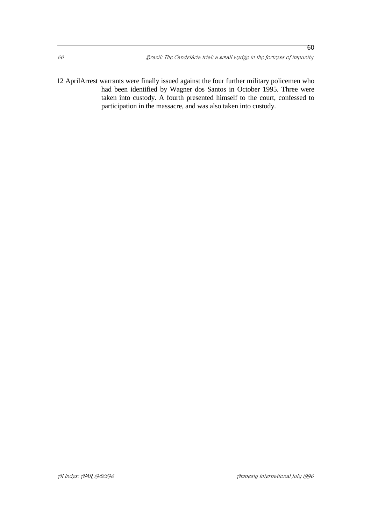60

12 AprilArrest warrants were finally issued against the four further military policemen who had been identified by Wagner dos Santos in October 1995. Three were taken into custody. A fourth presented himself to the court, confessed to participation in the massacre, and was also taken into custody.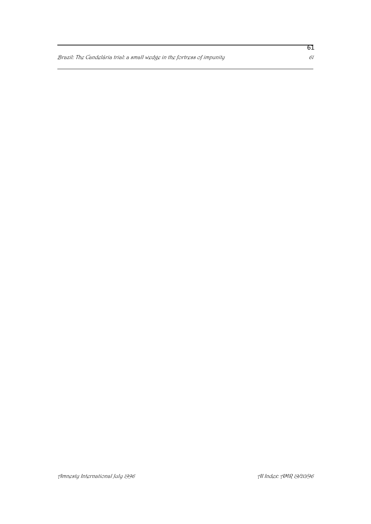Amnesty International July 1996 AI Index: AMR 19/20/96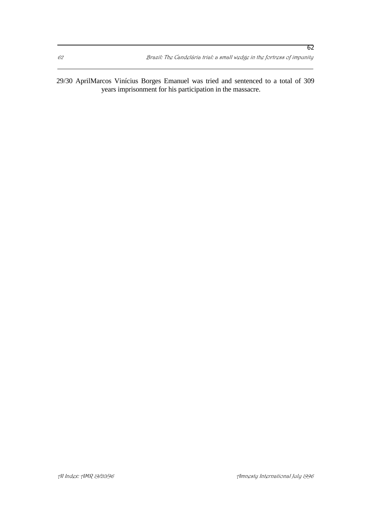62

29/30 AprilMarcos Vinícius Borges Emanuel was tried and sentenced to a total of 309 years imprisonment for his participation in the massacre.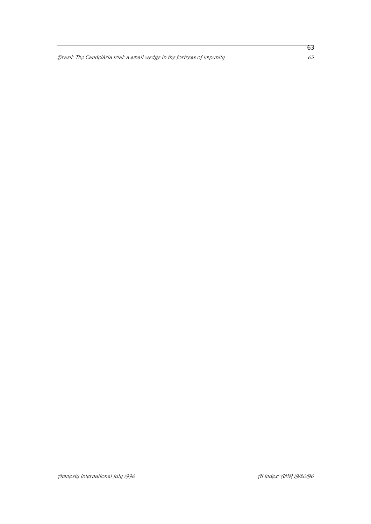Amnesty International July 1996 AI Index: AMR 19/20/96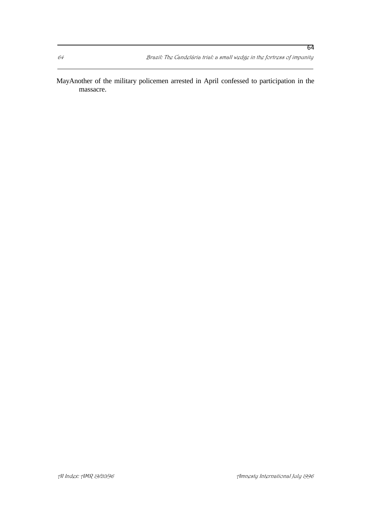64

MayAnother of the military policemen arrested in April confessed to participation in the massacre.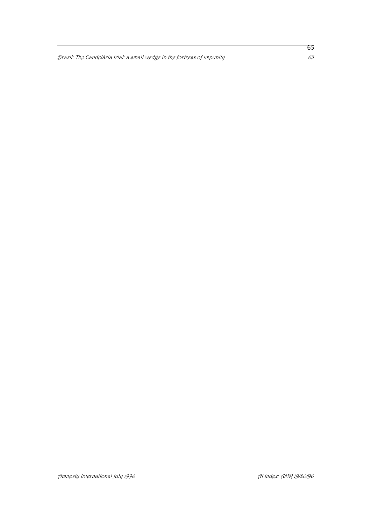Amnesty International July 1996 AI Index: AMR 19/20/96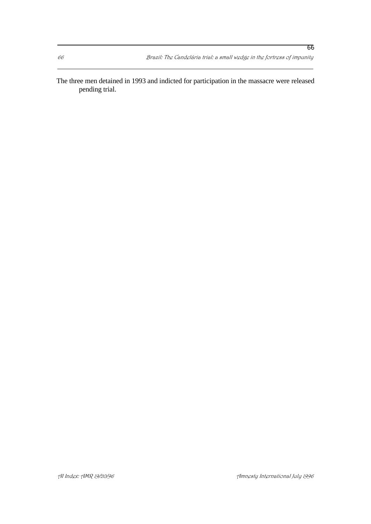66

The three men detained in 1993 and indicted for participation in the massacre were released pending trial.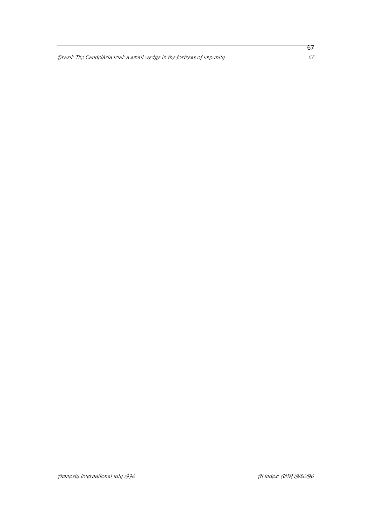Amnesty International July 1996 AI Index: AMR 19/20/96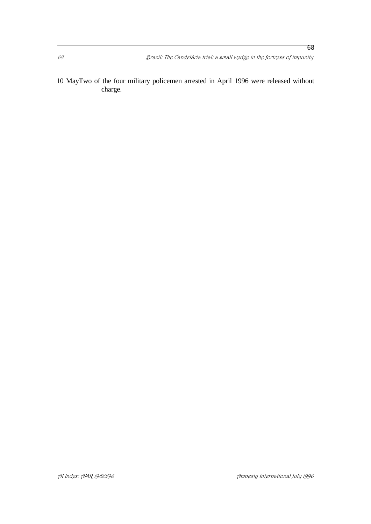68

10 MayTwo of the four military policemen arrested in April 1996 were released without charge.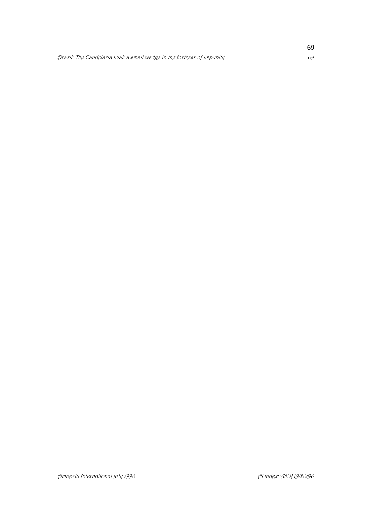Amnesty International July 1996 AI Index: AMR 19/20/96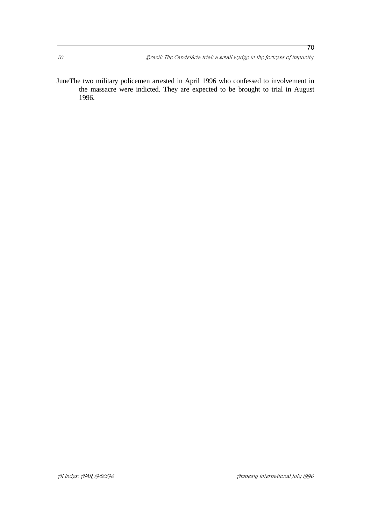70

JuneThe two military policemen arrested in April 1996 who confessed to involvement in the massacre were indicted. They are expected to be brought to trial in August 1996.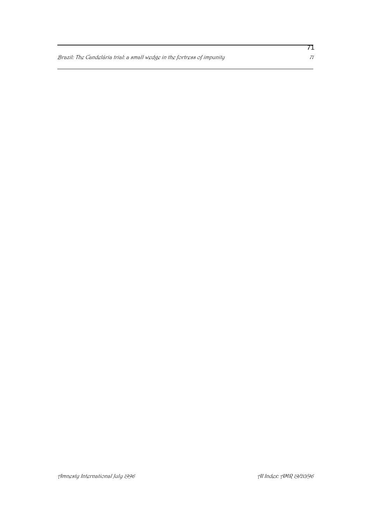Amnesty International July 1996 AI Index: AMR 19/20/96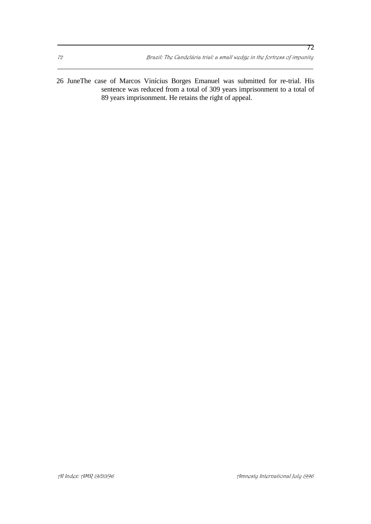72

26 JuneThe case of Marcos Vinícius Borges Emanuel was submitted for re-trial. His sentence was reduced from a total of 309 years imprisonment to a total of 89 years imprisonment. He retains the right of appeal.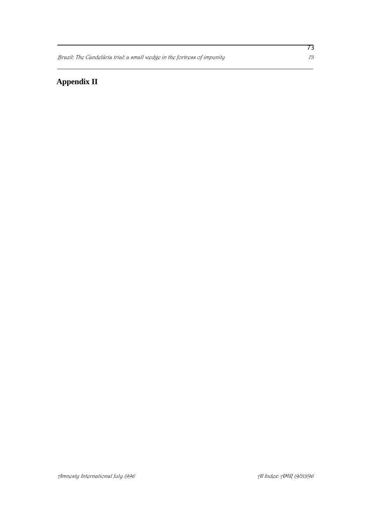# **Appendix II**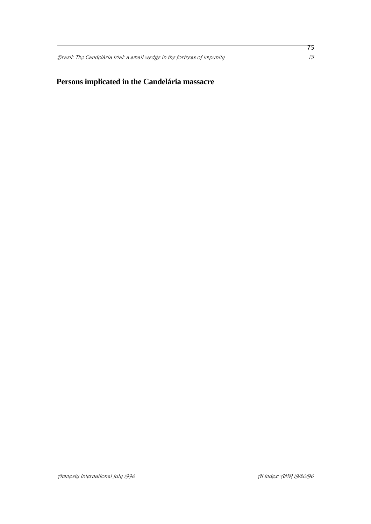# **Persons implicated in the Candelária massacre**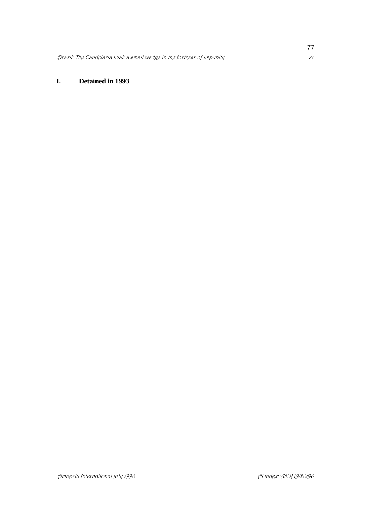### **I. Detained in 1993**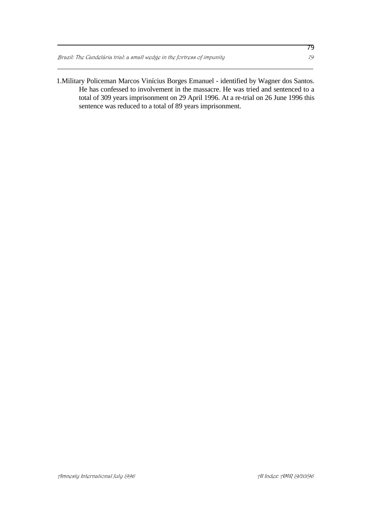1.Military Policeman Marcos Vinícius Borges Emanuel - identified by Wagner dos Santos. He has confessed to involvement in the massacre. He was tried and sentenced to a total of 309 years imprisonment on 29 April 1996. At a re-trial on 26 June 1996 this sentence was reduced to a total of 89 years imprisonment.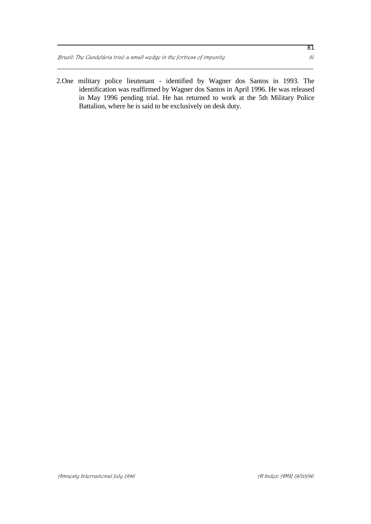2.One military police lieutenant - identified by Wagner dos Santos in 1993. The identification was reaffirmed by Wagner dos Santos in April 1996. He was released in May 1996 pending trial. He has returned to work at the 5th Military Police Battalion, where he is said to be exclusively on desk duty.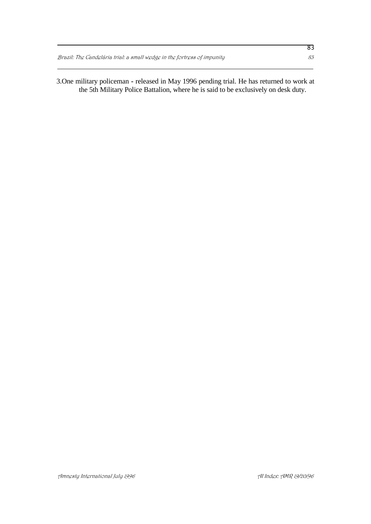3.One military policeman **-** released in May 1996 pending trial. He has returned to work at the 5th Military Police Battalion, where he is said to be exclusively on desk duty.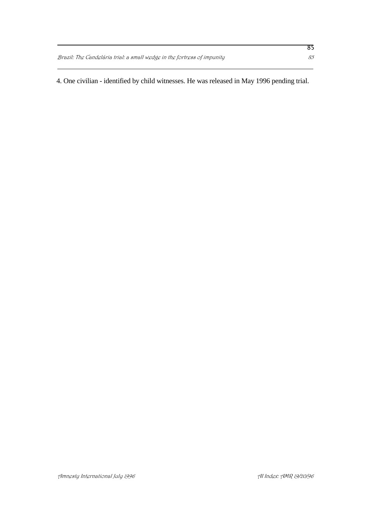4. One civilian - identified by child witnesses. He was released in May 1996 pending trial.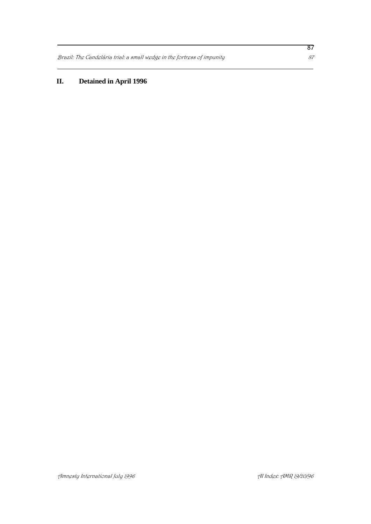## **II. Detained in April 1996**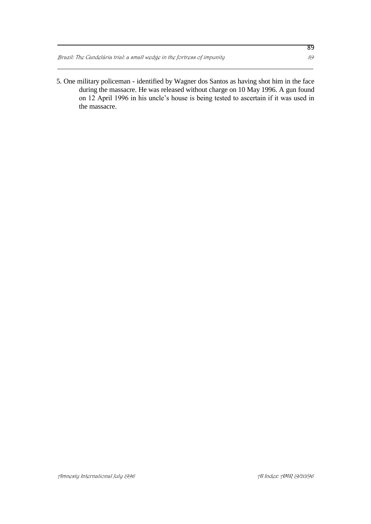5. One military policeman **-** identified by Wagner dos Santos as having shot him in the face during the massacre. He was released without charge on 10 May 1996. A gun found on 12 April 1996 in his uncle's house is being tested to ascertain if it was used in the massacre.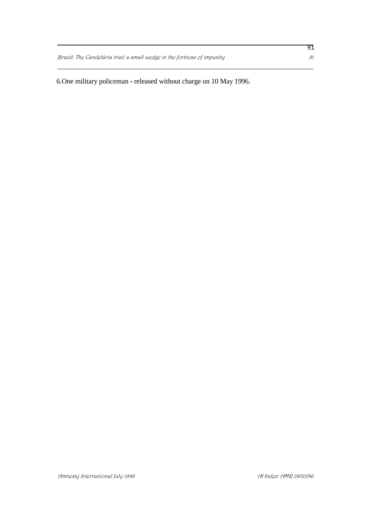6.One military policeman **-** released without charge on 10 May 1996.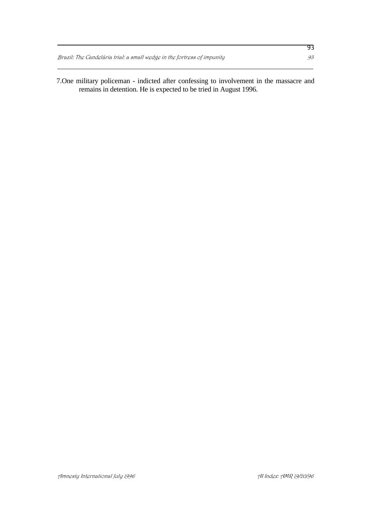7.One military policeman - indicted after confessing to involvement in the massacre and remains in detention. He is expected to be tried in August 1996.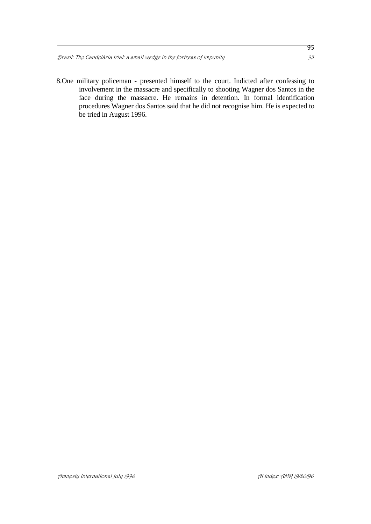8.One military policeman - presented himself to the court. Indicted after confessing to involvement in the massacre and specifically to shooting Wagner dos Santos in the face during the massacre. He remains in detention. In formal identification procedures Wagner dos Santos said that he did not recognise him. He is expected to be tried in August 1996.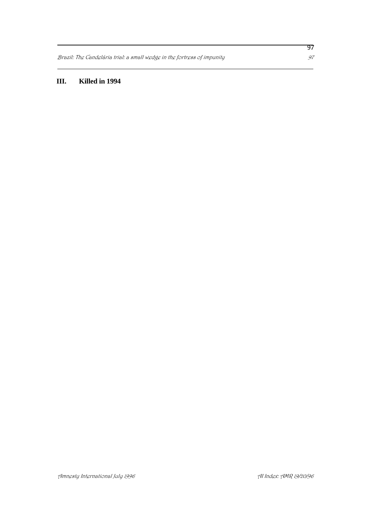### **III. Killed in 1994**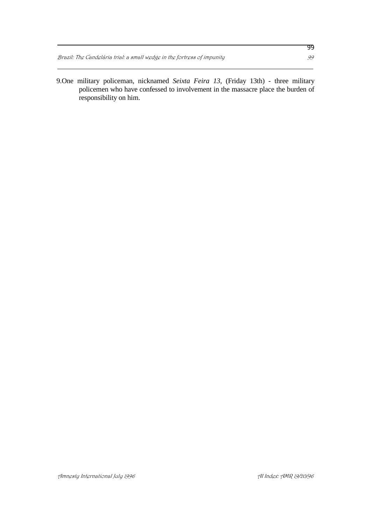9.One military policeman, nicknamed *Seixta Feira 13*, (Friday 13th) - three military policemen who have confessed to involvement in the massacre place the burden of responsibility on him.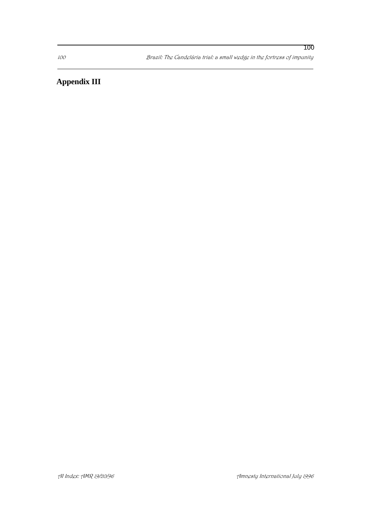# **Appendix III**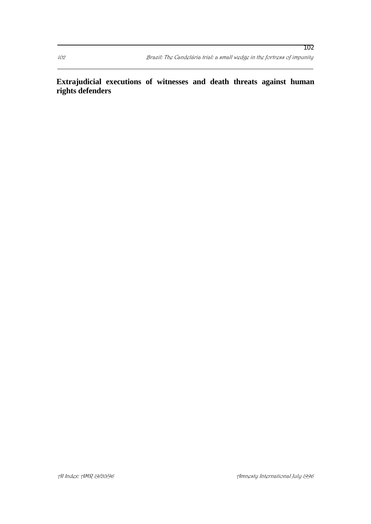102

**Extrajudicial executions of witnesses and death threats against human rights defenders**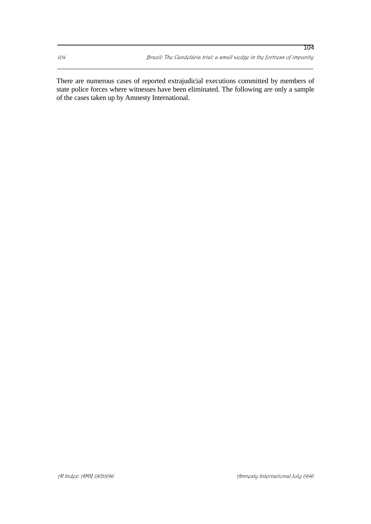104

There are numerous cases of reported extrajudicial executions committed by members of state police forces where witnesses have been eliminated. The following are only a sample of the cases taken up by Amnesty International.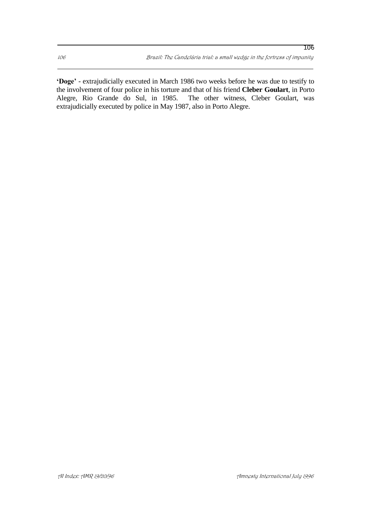106

**'Doge'** - extrajudicially executed in March 1986 two weeks before he was due to testify to the involvement of four police in his torture and that of his friend **Cleber Goulart**, in Porto Alegre, Rio Grande do Sul, in 1985. The other witness, Cleber Goulart, was extrajudicially executed by police in May 1987, also in Porto Alegre.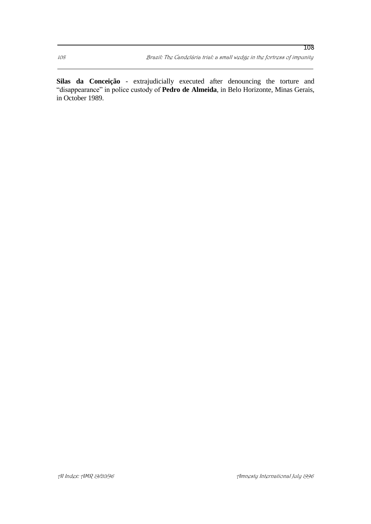108

**Silas da Conceição** - extrajudicially executed after denouncing the torture and "disappearance" in police custody of **Pedro de Almeida**, in Belo Horizonte, Minas Gerais, in October 1989.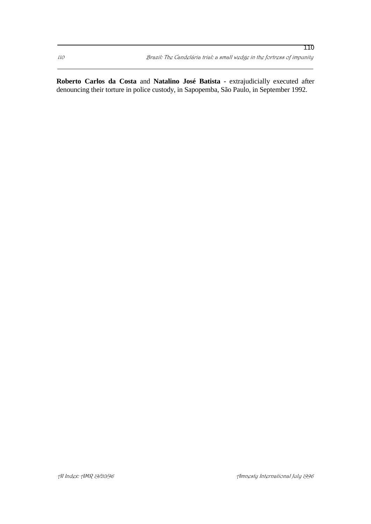**Roberto Carlos da Costa** and **Natalino José Batista** - extrajudicially executed after denouncing their torture in police custody, in Sapopemba, São Paulo, in September 1992.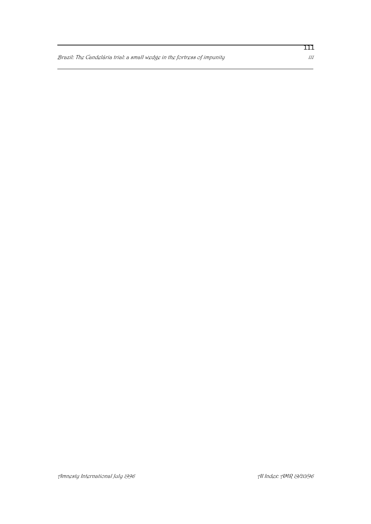Amnesty International July 1996 AI Index: AMR 19/20/96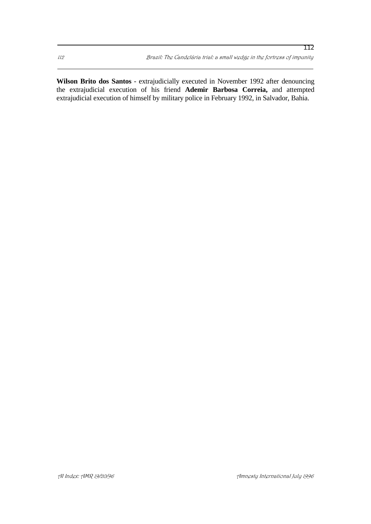112

**Wilson Brito dos Santos** - extrajudicially executed in November 1992 after denouncing the extrajudicial execution of his friend **Ademir Barbosa Correia,** and attempted extrajudicial execution of himself by military police in February 1992, in Salvador, Bahia.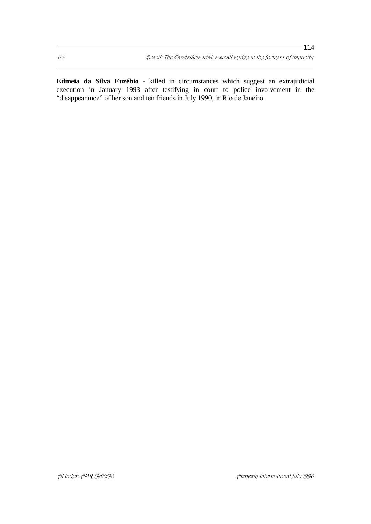**Edmeia da Silva Euzébio** - killed in circumstances which suggest an extrajudicial execution in January 1993 after testifying in court to police involvement in the "disappearance" of her son and ten friends in July 1990, in Rio de Janeiro.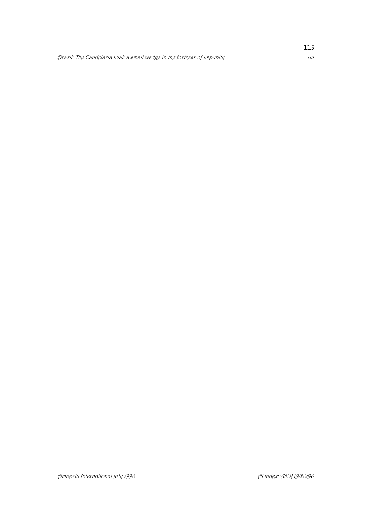Amnesty International July 1996 AI Index: AMR 19/20/96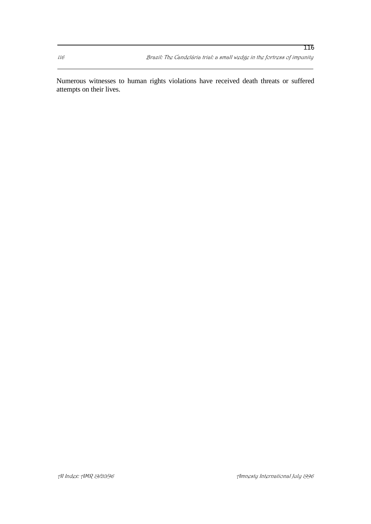Numerous witnesses to human rights violations have received death threats or suffered attempts on their lives.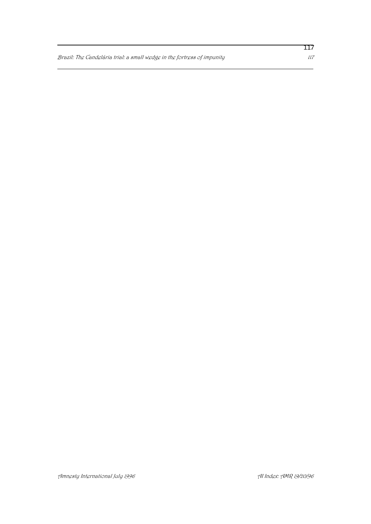Amnesty International July 1996 AI Index: AMR 19/20/96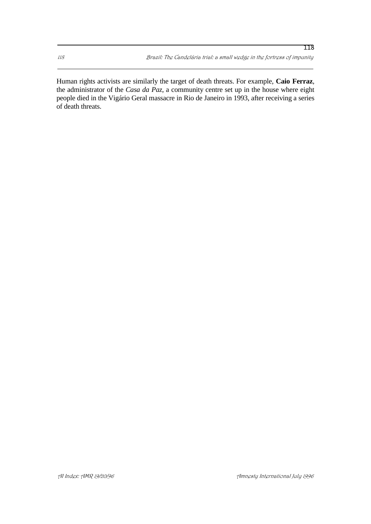118

Human rights activists are similarly the target of death threats. For example, **Caio Ferraz**, the administrator of the *Casa da Paz*, a community centre set up in the house where eight people died in the Vigário Geral massacre in Rio de Janeiro in 1993, after receiving a series of death threats.